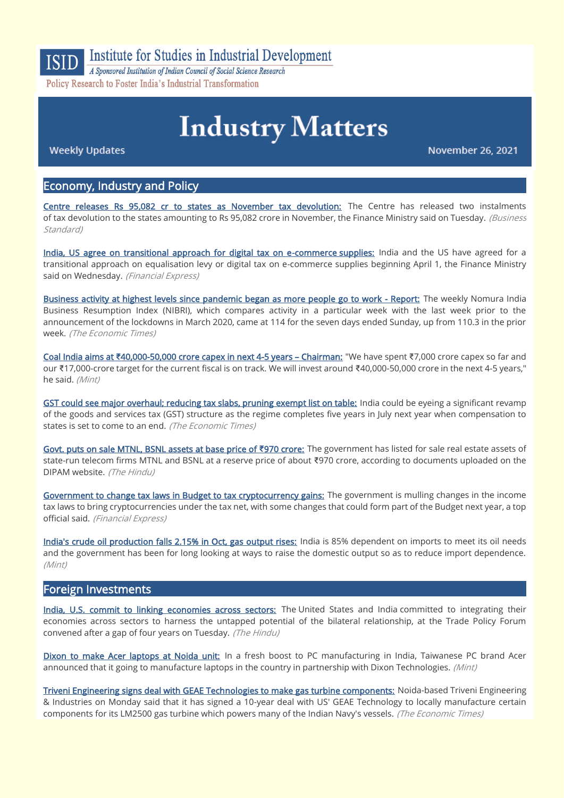

**Institute for Studies in Industrial Development** 

A Sponsored Institution of Indian Council of Social Science Research Policy Research to Foster India's Industrial Transformation

# **Industry Matters**

**Weekly Updates** 

November 26, 2021

# Economy, Industry and Policy

[Centre releases Rs 95,082 cr to states as November tax devolution:](https://www.business-standard.com/article/economy-policy/centre-releases-rs-95-082-cr-to-states-as-november-tax-devolution-121112300968_1.html) The Centre has released two instalments of tax devolution to the states amounting to Rs 95,082 crore in November, the Finance Ministry said on Tuesday. (Business Standard)

[India, US agree on transitional approach for digital tax on e-commerce supplies:](https://www.financialexpress.com/economy/india-us-agree-on-transitional-approach-for-digital-tax-on-e-commerce-supplies/2375538/) India and the US have agreed for a transitional approach on equalisation levy or digital tax on e-commerce supplies beginning April 1, the Finance Ministry said on Wednesday. (Financial Express)

[Business activity at highest levels since pandemic began as more people go to work - Report:](https://economictimes.indiatimes.com/news/economy/indicators/business-activity-at-highest-levels-since-pandemic-began-as-more-people-go-to-work-report/articleshow/87850772.cms) The weekly Nomura India Business Resumption Index (NIBRI), which compares activity in a particular week with the last week prior to the announcement of the lockdowns in March 2020, came at 114 for the seven days ended Sunday, up from 110.3 in the prior week. (The Economic Times)

Coal India aims at **₹**[40,000-50,000 crore capex in next 4-5 years](https://www.livemint.com/companies/news/coal-india-aims-at-rs-40-000-50-000-crore-capex-in-next-4-5-years-chairman-11637771315406.html) – Chairman: "We have spent ₹7,000 crore capex so far and our ₹17,000-crore target for the current fiscal is on track. We will invest around ₹40,000-50,000 crore in the next 4-5 years," he said. (Mint)

[GST could see major overhaul; reducing tax slabs, pruning exempt list on table:](https://economictimes.indiatimes.com/news/economy/finance/gst-could-see-major-overhaul-reducing-tax-slabs-pruning-exempt-list-on-table/articleshow/87809543.cms) India could be eyeing a significant revamp of the goods and services tax (GST) structure as the regime completes five years in July next year when compensation to states is set to come to an end. (The Economic Times)

[Govt. puts on sale MTNL, BSNL assets at base price of](https://www.thehindu.com/business/Industry/govt-puts-on-sale-mtnl-bsnl-assets-at-base-price-of-970-crore/article37602696.ece) **₹**970 crore: The government has listed for sale real estate assets of state-run telecom firms MTNL and BSNL at a reserve price of about ₹970 crore, according to documents uploaded on the DIPAM website. (The Hindu)

[Government to change tax laws in Budget to tax cryptocurrency gains:](https://www.financialexpress.com/economy/government-to-change-tax-laws-in-budget-to-tax-cryptocurrency-gains/2372449/) The government is mulling changes in the income tax laws to bring cryptocurrencies under the tax net, with some changes that could form part of the Budget next year, a top official said. (Financial Express)

[India's crude oil production falls 2.15% in Oct, gas output rises:](https://www.livemint.com/industry/energy/indias-crude-oil-production-falls-2-15-in-oct-gas-output-rises-11637672955214.html) India is 85% dependent on imports to meet its oil needs and the government has been for long looking at ways to raise the domestic output so as to reduce import dependence. (Mint)

## Foreign Investments

[India, U.S. commit to linking economies across sectors:](https://www.thehindu.com/business/Industry/india-and-us-resolve-to-fix-trade-tangles-take-economic-ties-to-next-level/article37642598.ece) The United States and India committed to integrating their economies across sectors to harness the untapped potential of the bilateral relationship, at the Trade Policy Forum convened after a gap of four years on Tuesday. (The Hindu)

[Dixon to make Acer laptops at Noida unit:](https://www.livemint.com/companies/news/acer-to-manufacture-laptops-at-dixon-technologies-noida-facility-11637843041194.html) In a fresh boost to PC manufacturing in India, Taiwanese PC brand Acer announced that it going to manufacture laptops in the country in partnership with Dixon Technologies. (Mint)

[Triveni Engineering signs deal with GEAE Technologies to make gas turbine components:](https://economictimes.indiatimes.com/industry/indl-goods/svs/engineering/triveni-engineering-signs-deal-with-geae-technologies-to-make-gas-turbine-components/articleshow/87849647.cms) Noida-based Triveni Engineering & Industries on Monday said that it has signed a 10-year deal with US' GEAE Technology to locally manufacture certain components for its LM2500 gas turbine which powers many of the Indian Navy's vessels. (The Economic Times)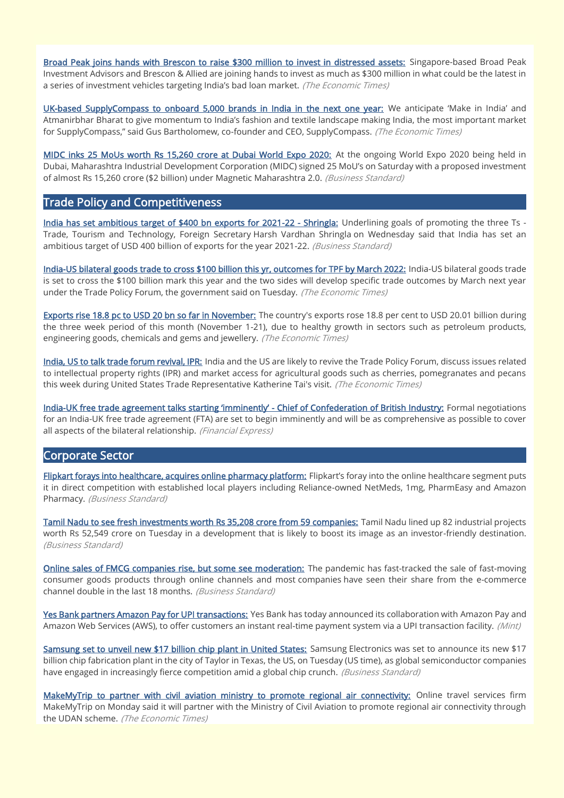[Broad Peak joins hands with Brescon to raise \\$300 million to invest in distressed assets:](https://economictimes.indiatimes.com/industry/banking/finance/banking/broad-peak-joins-hands-with-brescon-to-raise-300-million-to-invest-in-distressed-assets/articleshow/87854529.cms) Singapore-based Broad Peak Investment Advisors and Brescon & Allied are joining hands to invest as much as \$300 million in what could be the latest in a series of investment vehicles targeting India's bad loan market. (The Economic Times)

[UK-based SupplyCompass to onboard 5,000 brands in India in the next one year:](https://economictimes.indiatimes.com/industry/cons-products/fashion-/-cosmetics-/-jewellery/uk-based-supplycompass-to-onboard-5000-brands-in-india-in-the-next-one-year/articleshow/87841334.cms) We anticipate 'Make in India' and Atmanirbhar Bharat to give momentum to India's fashion and textile landscape making India, the most important market for SupplyCompass," said Gus Bartholomew, co-founder and CEO, SupplyCompass. (The Economic Times)

[MIDC inks 25 MoUs worth Rs 15,260 crore at Dubai World Expo 2020:](https://www.business-standard.com/article/economy-policy/midc-inks-25-mous-worth-rs-15-260-crore-at-dubai-world-expo-2020-121112100724_1.html) At the ongoing World Expo 2020 being held in Dubai, Maharashtra Industrial Development Corporation (MIDC) signed 25 MoU's on Saturday with a proposed investment of almost Rs 15,260 crore (\$2 billion) under Magnetic Maharashtra 2.0. (Business Standard)

# Trade Policy and Competitiveness

[India has set ambitious target of \\$400 bn exports for 2021-22 - Shringla:](https://www.business-standard.com/article/economy-policy/india-has-set-ambitious-target-of-400-bn-exports-for-2021-22-shringla-121112500109_1.html) Underlining goals of promoting the three Ts -Trade, Tourism and Technology, Foreign Secretary Harsh Vardhan Shringla on Wednesday said that India has set an ambitious target of USD 400 billion of exports for the year 2021-22. (Business Standard)

[India-US bilateral goods trade to cross \\$100 billion this yr, outcomes for TPF by March 2022:](https://economictimes.indiatimes.com/small-biz/trade/exports/insights/india-us-bilateral-goods-trade-to-cross-100-billion-this-yr-outcomes-for-tpf-by-march-2022/articleshow/87868325.cms) India-US bilateral goods trade is set to cross the \$100 billion mark this year and the two sides will develop specific trade outcomes by March next year under the Trade Policy Forum, the government said on Tuesday. (The Economic Times)

[Exports rise 18.8 pc to USD 20 bn so far in November:](https://economictimes.indiatimes.com/news/economy/foreign-trade/exports-rise-18-8-pc-to-usd-20-bn-so-far-in-november/articleshow/87853658.cms) The country's exports rose 18.8 per cent to USD 20.01 billion during the three week period of this month (November 1-21), due to healthy growth in sectors such as petroleum products, engineering goods, chemicals and gems and jewellery. (The Economic Times)

[India, US to talk trade forum revival, IPR:](https://economictimes.indiatimes.com/news/economy/foreign-trade/india-us-to-talk-trade-forum-revival-ipr/articleshow/87838791.cms) India and the US are likely to revive the Trade Policy Forum, discuss issues related to intellectual property rights (IPR) and market access for agricultural goods such as cherries, pomegranates and pecans this week during United States Trade Representative Katherine Tai's visit. (The Economic Times)

India-[UK free trade agreement talks starting 'imminently'](https://www.financialexpress.com/economy/india-uk-free-trade-agreement-talks-starting-imminently-chief-of-confederation-of-british-industry/2375321/) - Chief of Confederation of British Industry: Formal negotiations for an India-UK free trade agreement (FTA) are set to begin imminently and will be as comprehensive as possible to cover all aspects of the bilateral relationship. (Financial Express)

## Corporate Sector

[Flipkart forays into healthcare, acquires online pharmacy platform:](https://www.business-standard.com/article/companies/flipkart-forays-into-healthcare-acquires-online-pharmacy-platform-121111900572_1.html) Flipkart's foray into the online healthcare segment puts it in direct competition with established local players including Reliance-owned NetMeds, 1mg, PharmEasy and Amazon Pharmacy. (Business Standard)

[Tamil Nadu to see fresh investments worth Rs 35,208 crore from 59 companies:](https://www.business-standard.com/article/current-affairs/tamil-nadu-to-see-fresh-investments-worth-rs-35-208-crore-from-59-companies-121112300789_1.html) Tamil Nadu lined up 82 industrial projects worth Rs 52,549 crore on Tuesday in a development that is likely to boost its image as an investor-friendly destination. (Business Standard)

[Online sales of FMCG companies rise, but some see moderation:](https://www.business-standard.com/article/companies/online-sales-of-fmcg-companies-rise-but-some-see-moderation-121112000144_1.html) The pandemic has fast-tracked the sale of fast-moving consumer goods products through online channels and most companies have seen their share from the e-commerce channel double in the last 18 months. (Business Standard)

[Yes Bank partners Amazon Pay for UPI transactions:](https://www.livemint.com/technology/yes-bank-partners-amazon-pay-for-upi-transactions-read-more-11637841343888.html) Yes Bank has today announced its collaboration with Amazon Pay and Amazon Web Services (AWS), to offer customers an instant real-time payment system via a UPI transaction facility. (Mint)

[Samsung set to unveil new \\$17 billion chip plant in United States:](https://www.business-standard.com/article/technology/samsung-set-to-unveil-new-17-billion-chip-plant-in-united-states-121112300841_1.html) Samsung Electronics was set to announce its new \$17 billion chip fabrication plant in the city of Taylor in Texas, the US, on Tuesday (US time), as global semiconductor companies have engaged in increasingly fierce competition amid a global chip crunch. (Business Standard)

[MakeMyTrip to partner with civil aviation ministry to promote regional air connectivity:](https://economictimes.indiatimes.com/industry/transportation/airlines-/-aviation/makemytrip-to-partner-with-civil-aviation-ministry-to-promote-regional-air-connectivity/articleshow/87846252.cms) Online travel services firm MakeMyTrip on Monday said it will partner with the Ministry of Civil Aviation to promote regional air connectivity through the UDAN scheme. (The Economic Times)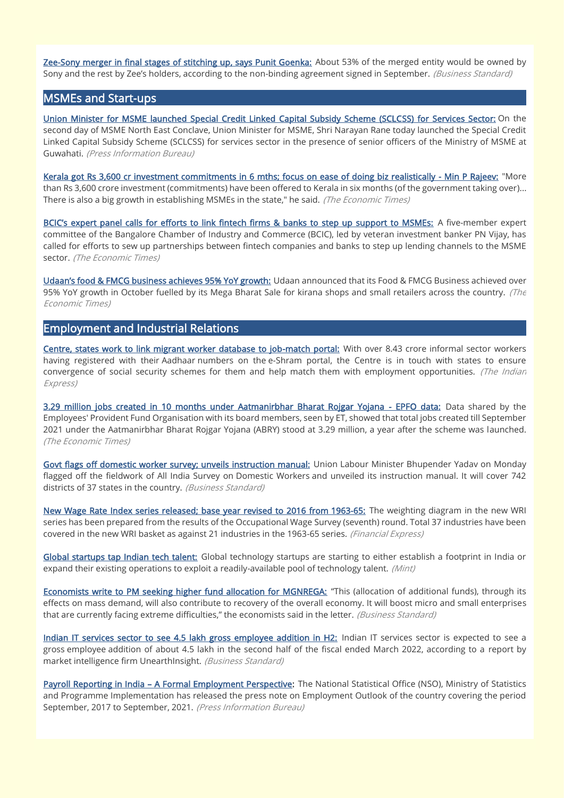[Zee-Sony merger in final stages of stitching up, says Punit Goenka:](https://www.business-standard.com/article/companies/zee-sony-merger-in-final-stages-says-punit-goenka-121112301005_1.html) About 53% of the merged entity would be owned by Sony and the rest by Zee's holders, according to the non-binding agreement signed in September. (Business Standard)

## MSMEs and Start-ups

[Union Minister for MSME launched Special Credit Linked Capital Subsidy Scheme \(SCLCSS\) for Services Sector:](https://www.pib.gov.in/PressReleasePage.aspx?PRID=1773187) On the second day of MSME North East Conclave, Union Minister for MSME, Shri Narayan Rane today launched the Special Credit Linked Capital Subsidy Scheme (SCLCSS) for services sector in the presence of senior officers of the Ministry of MSME at Guwahati. (Press Information Bureau)

[Kerala got Rs 3,600 cr investment commitments in 6 mths; focus on ease of doing biz realistically - Min P Rajeev:](https://economictimes.indiatimes.com/news/economy/indicators/kerala-got-rs-3600-cr-investment-commitments-in-6-mths-focus-on-ease-of-doing-biz-realistically-min-p-rajeev/articleshow/87798668.cms) "More than Rs 3,600 crore investment (commitments) have been offered to Kerala in six months (of the government taking over)... There is also a big growth in establishing MSMEs in the state," he said. (The Economic Times)

[BCIC's expert panel calls for efforts to link fintech firms & banks to step up support to MSMEs:](https://economictimes.indiatimes.com/industry/banking/finance/banking/bcics-expert-panel-calls-for-efforts-to-link-fintech-firms-banks-to-step-up-support-to-msmes/articleshow/87855366.cms) A five-member expert committee of the Bangalore Chamber of Industry and Commerce (BCIC), led by veteran investment banker PN Vijay, has called for efforts to sew up partnerships between fintech companies and banks to step up lending channels to the MSME sector. (The Economic Times)

[Udaan's food & FMCG business achieves 95% YoY growth:](https://economictimes.indiatimes.com/small-biz/sme-sector/udaans-food-fmcg-business-achieves-95-yoy-growth/articleshow/87863458.cms) Udaan announced that its Food & FMCG Business achieved over 95% YoY growth in October fuelled by its Mega Bharat Sale for kirana shops and small retailers across the country. (The Economic Times)

## Employment and Industrial Relations

[Centre, states work to link migrant worker database to job-match portal:](https://indianexpress.com/article/india/centre-states-work-to-link-migrant-worker-database-to-job-match-portal-7634578/) With over 8.43 crore informal sector workers having registered with their Aadhaar numbers on the e-Shram portal, the Centre is in touch with states to ensure convergence of social security schemes for them and help match them with employment opportunities. (The Indian Express)

[3.29 million jobs created in 10 months under Aatmanirbhar Bharat Rojgar Yojana - EPFO data:](https://economictimes.indiatimes.com/jobs/3-29-million-jobs-created-in-10-months-under-aatmanirbhar-bharat-rojgar-yojana-epfo-data/articleshow/87839774.cms) Data shared by the Employees' Provident Fund Organisation with its board members, seen by ET, showed that total jobs created till September 2021 under the Aatmanirbhar Bharat Rojgar Yojana (ABRY) stood at 3.29 million, a year after the scheme was launched. (The Economic Times)

[Govt flags off domestic worker survey; unveils instruction manual:](https://www.business-standard.com/article/pti-stories/bhupender-yadav-flags-off-domestic-worker-survey-unveils-instruction-manual-121112200488_1.html) Union Labour Minister Bhupender Yadav on Monday flagged off the fieldwork of All India Survey on Domestic Workers and unveiled its instruction manual. It will cover 742 districts of 37 states in the country. (Business Standard)

New Wage Rate Index series released; base year revised to 2016 from 1963-65; The weighting diagram in the new WRI series has been prepared from the results of the Occupational Wage Survey (seventh) round. Total 37 industries have been covered in the new WRI basket as against 21 industries in the 1963-65 series. (Financial Express)

[Global startups tap Indian tech talent:](https://www.livemint.com/companies/start-ups/global-startups-tap-indian-tech-talent-11637608785588.html) Global technology startups are starting to either establish a footprint in India or expand their existing operations to exploit a readily-available pool of technology talent. (Mint)

[Economists write to PM seeking higher fund allocation for MGNREGA:](https://www.business-standard.com/article/economy-policy/economists-write-to-pm-seeking-higher-fund-allocation-for-mgnrega-121112500028_1.html) "This (allocation of additional funds), through its effects on mass demand, will also contribute to recovery of the overall economy. It will boost micro and small enterprises that are currently facing extreme difficulties," the economists said in the letter. (Business Standard)

[Indian IT services sector to see 4.5 lakh gross employee addition in H2:](https://www.business-standard.com/article/economy-policy/indian-it-services-sector-to-see-4-5-lakh-gross-employee-addition-in-h2-121112301302_1.html) Indian IT services sector is expected to see a gross employee addition of about 4.5 lakh in the second half of the fiscal ended March 2022, according to a report by market intelligence firm UnearthInsight. (Business Standard)

Payroll Reporting in India - [A Formal Employment Perspective:](https://www.pib.gov.in/PressReleasePage.aspx?PRID=1774948) The National Statistical Office (NSO), Ministry of Statistics and Programme Implementation has released the press note on Employment Outlook of the country covering the period September, 2017 to September, 2021. (Press Information Bureau)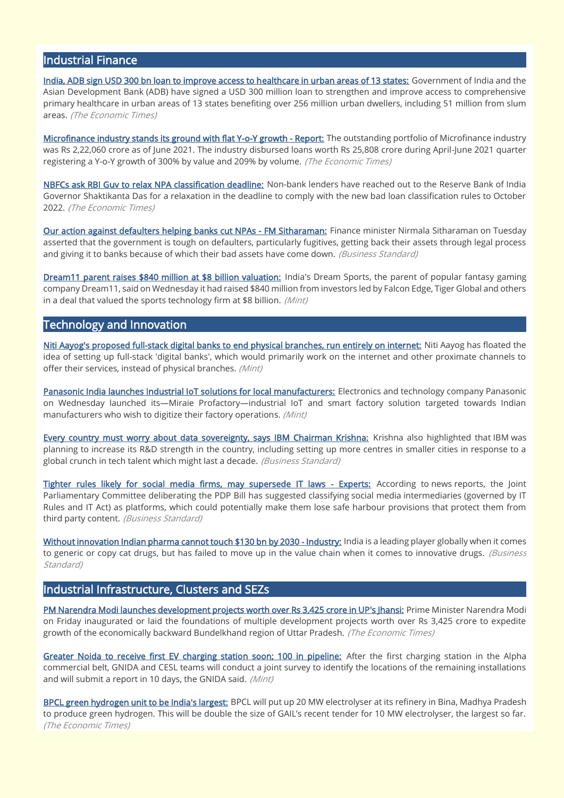# Industrial Finance

[India, ADB sign USD 300 bn loan to improve access to healthcare in urban areas of 13 states:](https://economictimes.indiatimes.com/news/economy/finance/india-adb-sign-usd-300-bn-loan-to-improve-access-to-healthcare-in-urban-areas-of-13-states/articleshow/87893095.cms) Government of India and the Asian Development Bank (ADB) have signed a USD 300 million loan to strengthen and improve access to comprehensive primary healthcare in urban areas of 13 states benefiting over 256 million urban dwellers, including 51 million from slum areas. (The Economic Times)

[Microfinance industry stands its ground with flat Y-o-Y growth - Report:](https://economictimes.indiatimes.com/small-biz/sme-sector/microfinance-industry-stands-its-ground-with-flat-y-o-y-growth-report/articleshow/87862580.cms) The outstanding portfolio of Microfinance industry was Rs 2,22,060 crore as of June 2021. The industry disbursed loans worth Rs 25,808 crore during April-June 2021 quarter registering a Y-o-Y growth of 300% by value and 209% by volume. (The Economic Times)

[NBFCs ask RBI Guv to relax NPA classification deadline:](https://economictimes.indiatimes.com/news/economy/policy/nbfcs-ask-rbi-guv-to-relax-npa-classification-deadline/articleshow/87791087.cms) Non-bank lenders have reached out to the Reserve Bank of India Governor Shaktikanta Das for a relaxation in the deadline to comply with the new bad loan classification rules to October 2022. (The Economic Times)

[Our action against defaulters helping banks cut NPAs - FM Sitharaman:](https://www.business-standard.com/article/economy-policy/our-action-against-defaulters-helping-banks-cut-npas-fm-sitharaman-121112400017_1.html) Finance minister Nirmala Sitharaman on Tuesday asserted that the government is tough on defaulters, particularly fugitives, getting back their assets through legal process and giving it to banks because of which their bad assets have come down. (Business Standard)

[Dream11 parent raises \\$840 million at \\$8 billion valuation:](https://www.livemint.com/companies/start-ups/dream11-parent-raises-840-million-at-8-billion-valuation-11637767762289.html) India's Dream Sports, the parent of popular fantasy gaming company Dream11, said on Wednesday it had raised \$840 million from investors led by Falcon Edge, Tiger Global and others in a deal that valued the sports technology firm at \$8 billion. (Mint)

## Technology and Innovation

[Niti Aayog's proposed full-stack digital banks to end physical branches, run entirely on internet:](https://www.livemint.com/industry/banking/niti-aayog-s-proposed-full-stack-digital-banks-to-end-physical-branches-run-entirely-on-internet-11637763607456.html) Niti Aayog has floated the idea of setting up full-stack 'digital banks', which would primarily work on the internet and other proximate channels to offer their services, instead of physical branches. (Mint)

[Panasonic India launches Industrial IoT solutions for local manufacturers:](https://www.livemint.com/industry/manufacturing/panasonic-india-launches-industrial-iot-solutions-for-local-manufacturers-11637760774945.html) Electronics and technology company Panasonic on Wednesday launched its—Miraie Profactory—industrial IoT and smart factory solution targeted towards Indian manufacturers who wish to digitize their factory operations. (Mint)

[Every country must worry about data sovereignty, says IBM Chairman Krishna:](https://www.business-standard.com/article/technology/ibm-bets-big-on-india-logs-in-to-small-towns-for-r-d-build-up-121112000119_1.html) Krishna also highlighted that IBM was planning to increase its R&D strength in the country, including setting up more centres in smaller cities in response to a global crunch in tech talent which might last a decade. (Business Standard)

[Tighter rules likely for social media firms, may supersede IT laws - Experts:](https://www.business-standard.com/article/economy-policy/tighter-rules-for-social-media-firms-likely-may-supersede-it-laws-experts-121112401249_1.html) According to news reports, the Joint Parliamentary Committee deliberating the PDP Bill has suggested classifying social media intermediaries (governed by IT Rules and IT Act) as platforms, which could potentially make them lose safe harbour provisions that protect them from third party content. (Business Standard)

[Without innovation Indian pharma cannot touch \\$130 bn by 2030 - Industry:](https://www.business-standard.com/article/companies/without-innovation-indian-pharma-cannot-touch-130-bn-by-2030-industry-121111901134_1.html) India is a leading player globally when it comes to generic or copy cat drugs, but has failed to move up in the value chain when it comes to innovative drugs. (Business Standard)

## Industrial Infrastructure, Clusters and SEZs

[PM Narendra Modi launches development projects worth over Rs 3,425 crore in UP's Jhansi:](https://economictimes.indiatimes.com/news/economy/infrastructure/pm-narendra-modi-launches-development-projects-worth-over-rs-3425-crore-in-ups-jhansi/articleshow/87803641.cms) Prime Minister Narendra Modi on Friday inaugurated or laid the foundations of multiple development projects worth over Rs 3,425 crore to expedite growth of the economically backward Bundelkhand region of Uttar Pradesh. (The Economic Times)

[Greater Noida to receive first EV charging station soon; 100 in pipeline:](https://www.livemint.com/auto-news/greater-noida-to-receive-first-ev-charging-station-soon-100-in-pipeline-11637678644968.html) After the first charging station in the Alpha commercial belt, GNIDA and CESL teams will conduct a joint survey to identify the locations of the remaining installations and will submit a report in 10 days, the GNIDA said. (Mint)

[BPCL green hydrogen unit to be India's largest:](https://economictimes.indiatimes.com/industry/renewables/bpcl-green-hydrogen-unit-to-be-indias-largest/articleshow/87878954.cms) BPCL will put up 20 MW electrolyser at its refinery in Bina, Madhya Pradesh to produce green hydrogen. This will be double the size of GAIL's recent tender for 10 MW electrolyser, the largest so far. (The Economic Times)